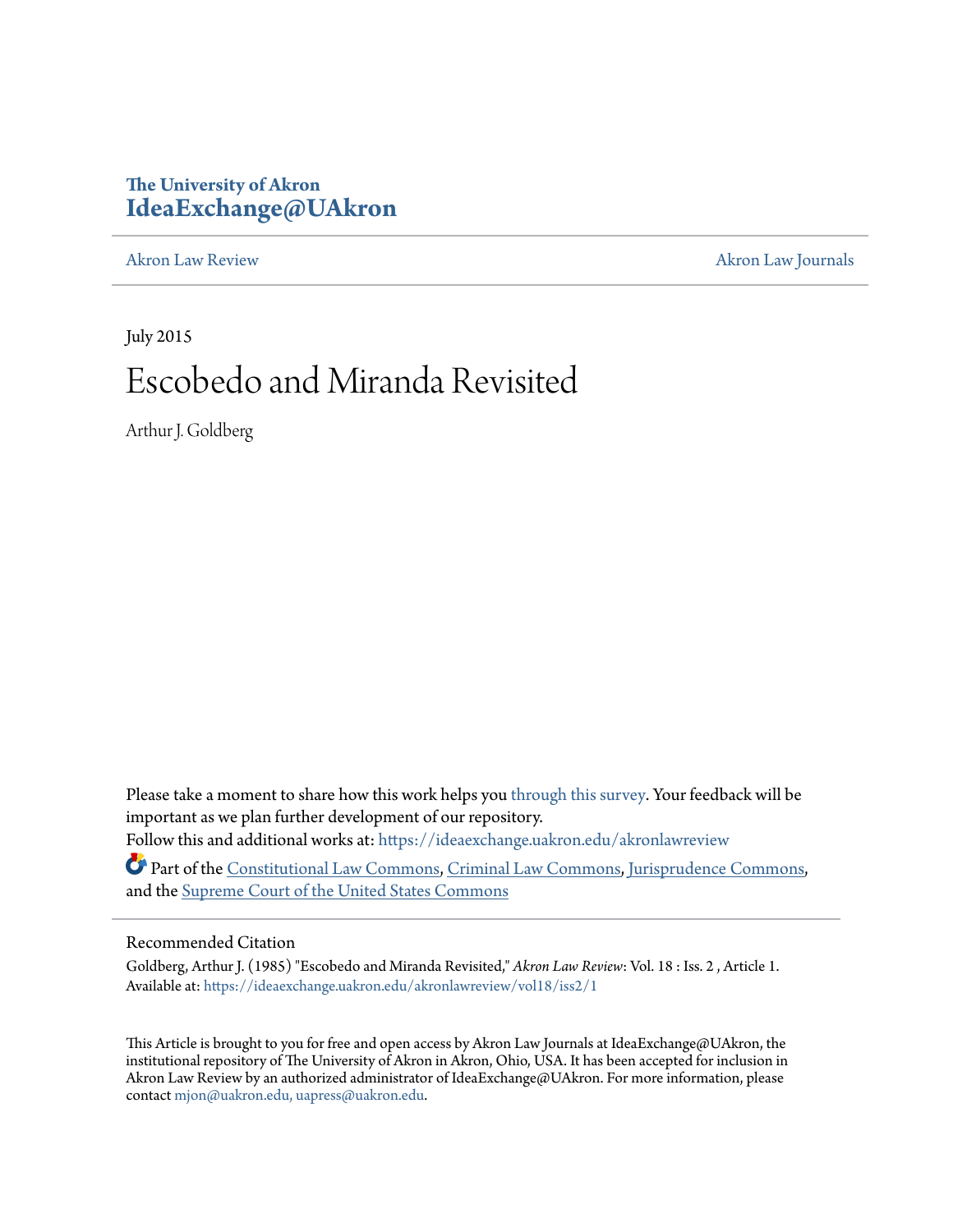## **The University of Akron [IdeaExchange@UAkron](https://ideaexchange.uakron.edu?utm_source=ideaexchange.uakron.edu%2Fakronlawreview%2Fvol18%2Fiss2%2F1&utm_medium=PDF&utm_campaign=PDFCoverPages)**

[Akron Law Review](https://ideaexchange.uakron.edu/akronlawreview?utm_source=ideaexchange.uakron.edu%2Fakronlawreview%2Fvol18%2Fiss2%2F1&utm_medium=PDF&utm_campaign=PDFCoverPages) [Akron Law Journals](https://ideaexchange.uakron.edu/akronlawjournals?utm_source=ideaexchange.uakron.edu%2Fakronlawreview%2Fvol18%2Fiss2%2F1&utm_medium=PDF&utm_campaign=PDFCoverPages)

July 2015 Escobedo and Miranda Revisited

Arthur J. Goldberg

Please take a moment to share how this work helps you [through this survey.](http://survey.az1.qualtrics.com/SE/?SID=SV_eEVH54oiCbOw05f&URL=https://ideaexchange.uakron.edu/akronlawreview/vol18/iss2/1) Your feedback will be important as we plan further development of our repository. Follow this and additional works at: [https://ideaexchange.uakron.edu/akronlawreview](https://ideaexchange.uakron.edu/akronlawreview?utm_source=ideaexchange.uakron.edu%2Fakronlawreview%2Fvol18%2Fiss2%2F1&utm_medium=PDF&utm_campaign=PDFCoverPages)

Part of the [Constitutional Law Commons,](http://network.bepress.com/hgg/discipline/589?utm_source=ideaexchange.uakron.edu%2Fakronlawreview%2Fvol18%2Fiss2%2F1&utm_medium=PDF&utm_campaign=PDFCoverPages) [Criminal Law Commons](http://network.bepress.com/hgg/discipline/912?utm_source=ideaexchange.uakron.edu%2Fakronlawreview%2Fvol18%2Fiss2%2F1&utm_medium=PDF&utm_campaign=PDFCoverPages), [Jurisprudence Commons,](http://network.bepress.com/hgg/discipline/610?utm_source=ideaexchange.uakron.edu%2Fakronlawreview%2Fvol18%2Fiss2%2F1&utm_medium=PDF&utm_campaign=PDFCoverPages) and the [Supreme Court of the United States Commons](http://network.bepress.com/hgg/discipline/1350?utm_source=ideaexchange.uakron.edu%2Fakronlawreview%2Fvol18%2Fiss2%2F1&utm_medium=PDF&utm_campaign=PDFCoverPages)

## Recommended Citation

Goldberg, Arthur J. (1985) "Escobedo and Miranda Revisited," *Akron Law Review*: Vol. 18 : Iss. 2 , Article 1. Available at: [https://ideaexchange.uakron.edu/akronlawreview/vol18/iss2/1](https://ideaexchange.uakron.edu/akronlawreview/vol18/iss2/1?utm_source=ideaexchange.uakron.edu%2Fakronlawreview%2Fvol18%2Fiss2%2F1&utm_medium=PDF&utm_campaign=PDFCoverPages)

This Article is brought to you for free and open access by Akron Law Journals at IdeaExchange@UAkron, the institutional repository of The University of Akron in Akron, Ohio, USA. It has been accepted for inclusion in Akron Law Review by an authorized administrator of IdeaExchange@UAkron. For more information, please contact [mjon@uakron.edu, uapress@uakron.edu.](mailto:mjon@uakron.edu,%20uapress@uakron.edu)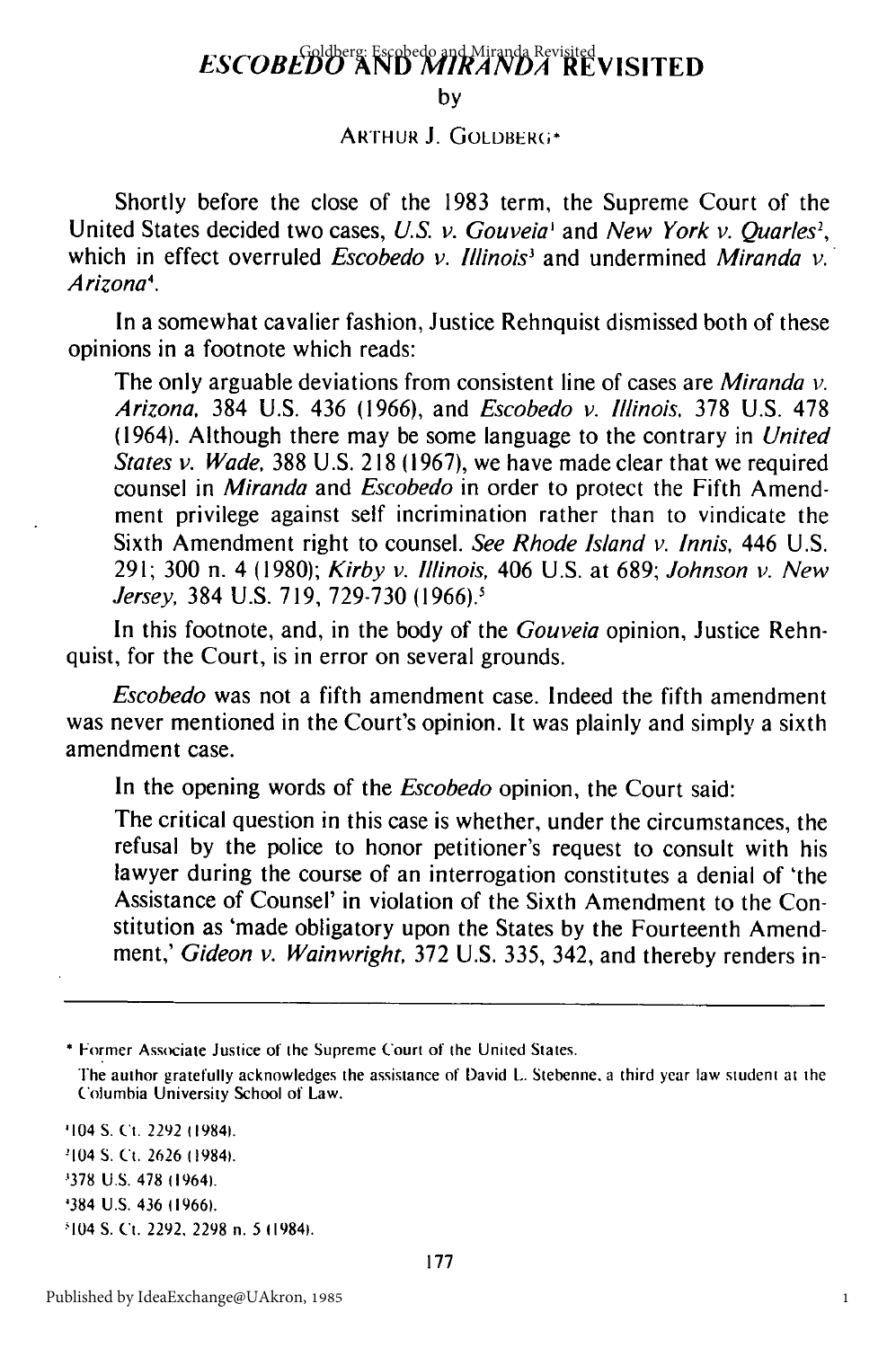## **ESCOBEDO AND** MIRANDA **REVISITED** Goldberg: Escobedo and Miranda Revisited

**by**

**ARTHUR J. GOLDBERG\*** 

Shortly before the close of the 1983 term, the Supreme Court of the United States decided two cases, U.S. *v. Gouveia*<sup>1</sup> and New York *v. Quarles<sup>2</sup>*, which in effect overruled *Escobedo v. Illinois*<sup>3</sup> and undermined *Miranda v.* Arizona'.

In a somewhat cavalier fashion, Justice Rehnquist dismissed both of these opinions in a footnote which reads:

The only arguable deviations from consistent line of cases are Miranda *v.* Arizona, 384 U.S. 436 (1966), and Escobedo *v.* Illinois, 378 U.S. 478 (1964). Although there may be some language to the contrary in United States v. Wade, 388 U.S. 218 (1967), we have made clear that we required counsel in Miranda and Escobedo in order to protect the Fifth Amendment privilege against self incrimination rather than to vindicate the Sixth Amendment right to counsel. See Rhode Island *v.* Innis, 446 U.S. 291; 300 n. 4 (1980); Kirby v. Illinois, 406 U.S. at 689; Johnson *v.* New Jersey, 384 U.S. 719, 729-730 **(1966).'**

In this footnote, and, in the body of the Gouveia opinion, Justice Rehnquist, for the Court, is in error on several grounds.

Escobedo was not a fifth amendment case. Indeed the fifth amendment was never mentioned in the Court's opinion. It was plainly and simply a sixth amendment case.

In the opening words of the *Escobedo* opinion, the Court said:

The critical question in this case is whether, under the circumstances, the refusal by the police to honor petitioner's request to consult with his lawyer during the course of an interrogation constitutes a denial of 'the Assistance of Counsel' in violation of the Sixth Amendment to the Constitution as 'made obligatory upon the States by the Fourteenth Amendment,' Gideon v. Wainwright, 372 U.S. 335, 342, and thereby renders in-

\* Former Associate Justice of the Supreme Court of the United States.

The author gratefully acknowledges the assistance of David L. Stebenne, a third year law student at the Columbia University School of Law.

<sup>1104</sup>**S.** Ct. 2292 (19841. <sup>2</sup>

104 S. Ct. 2626 119841.

•378 U.S. 478 119641.

'384 U.S. 436 11966).

104 S. Ct. 2292, 2298 n. **5** 11984).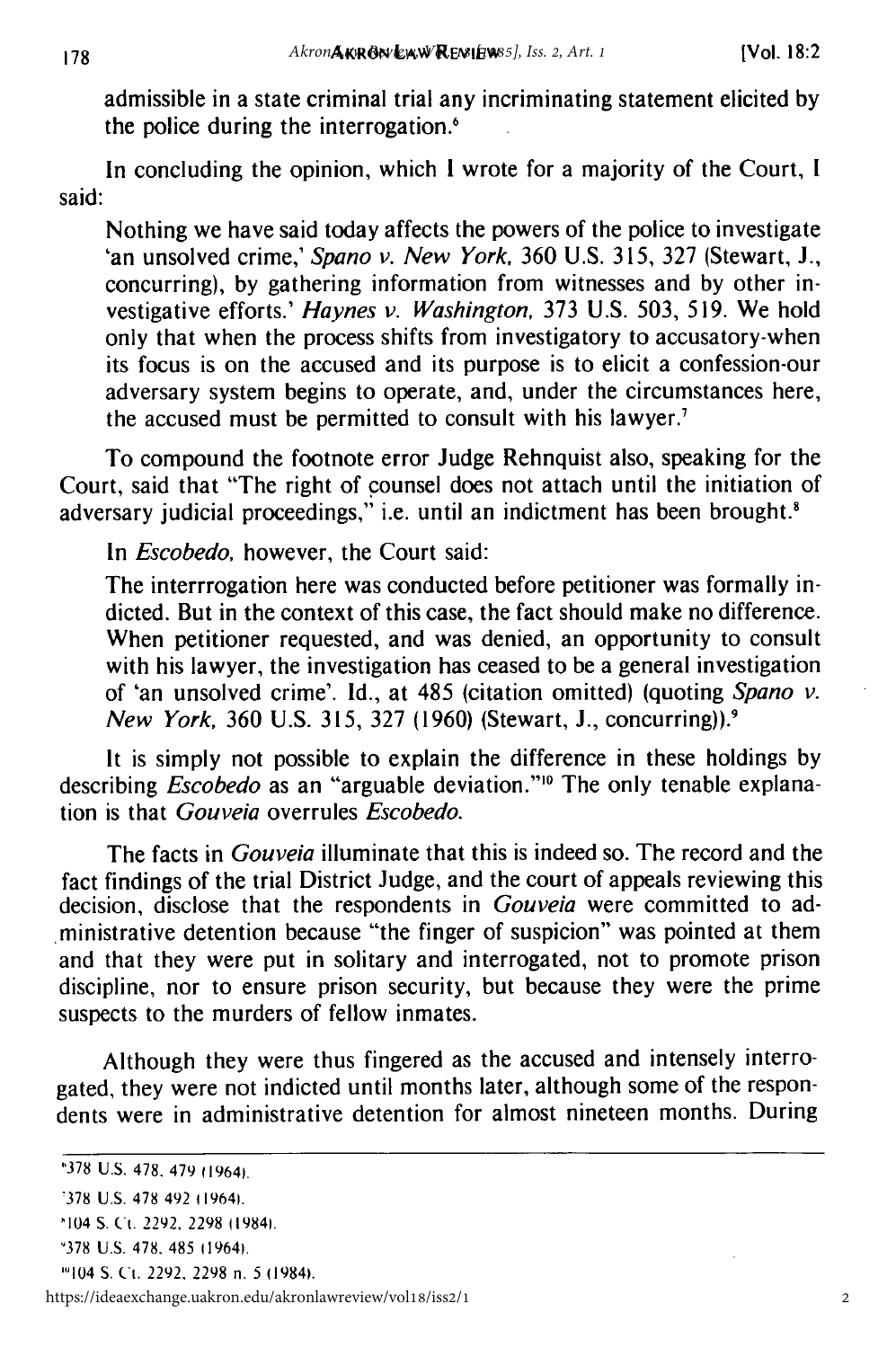admissible in a state criminal trial any incriminating statement elicited by the police during the interrogation.<sup>6</sup>

In concluding the opinion, which **I** wrote for a majority of the Court, **I** said:

Nothing we have said today affects the powers of the police to investigate 'an unsolved crime,' *Spano v. New York,* 360 U.S. 315, 327 (Stewart, J., concurring), by gathering information from witnesses and by other investigative efforts.' *Haynes* v. *Washington,* 373 U.S. 503, 519. We hold only that when the process shifts from investigatory to accusatory-when its focus is on the accused and its purpose is to elicit a confession-our adversary system begins to operate, and, under the circumstances here, the accused must be permitted to consult with his lawyer.

To compound the footnote error Judge Rehnquist also, speaking for the Court, said that "The right of counsel does not attach until the initiation of adversary judicial proceedings," i.e. until an indictment has been brought.<sup>8</sup>

In *Escobedo,* however, the Court said:

The interrrogation here was conducted before petitioner was formally indicted. But in the context of this case, the fact should make no difference. When petitioner requested, and was denied, an opportunity to consult with his lawyer, the investigation has ceased to be a general investigation of 'an unsolved crime'. Id., at 485 (citation omitted) (quoting *Spano v. New York,* 360 U.S. 315, 327 (1960) (Stewart, J., concurring)).<sup>9</sup>

It is simply not possible to explain the difference in these holdings by describing *Escobedo* as an "arguable deviation."<sup>10</sup> The only tenable explanation is that Gouveia overrules Escobedo.

The facts in *Gouveia* illuminate that this is indeed so. The record and the fact findings of the trial District Judge, and the court of appeals reviewing this decision, disclose that the respondents in *Gouveia* were committed to administrative detention because "the finger of suspicion" was pointed at them and that they were put in solitary and interrogated, not to promote prison discipline, nor to ensure prison security, but because they were the prime suspects to the murders of fellow inmates.

Although they were thus fingered as the accused and intensely interrogated, they were not indicted until months later, although some of the respondents were in administrative detention for almost nineteen months. During

1'104 S. Ct. 2292. 2298 n. 5 (19841.

https://ideaexchange.uakron.edu/akronlawreview/vol18/iss2/1

**<sup>&</sup>quot;378 U.S. 478.** 479 11964).

<sup>378</sup> U.S. 478 492 119641.

<sup>104</sup> **S.** Ct. 2292. 2298 (19841.

<sup>&#</sup>x27;378 U.S. 478. 485 11964).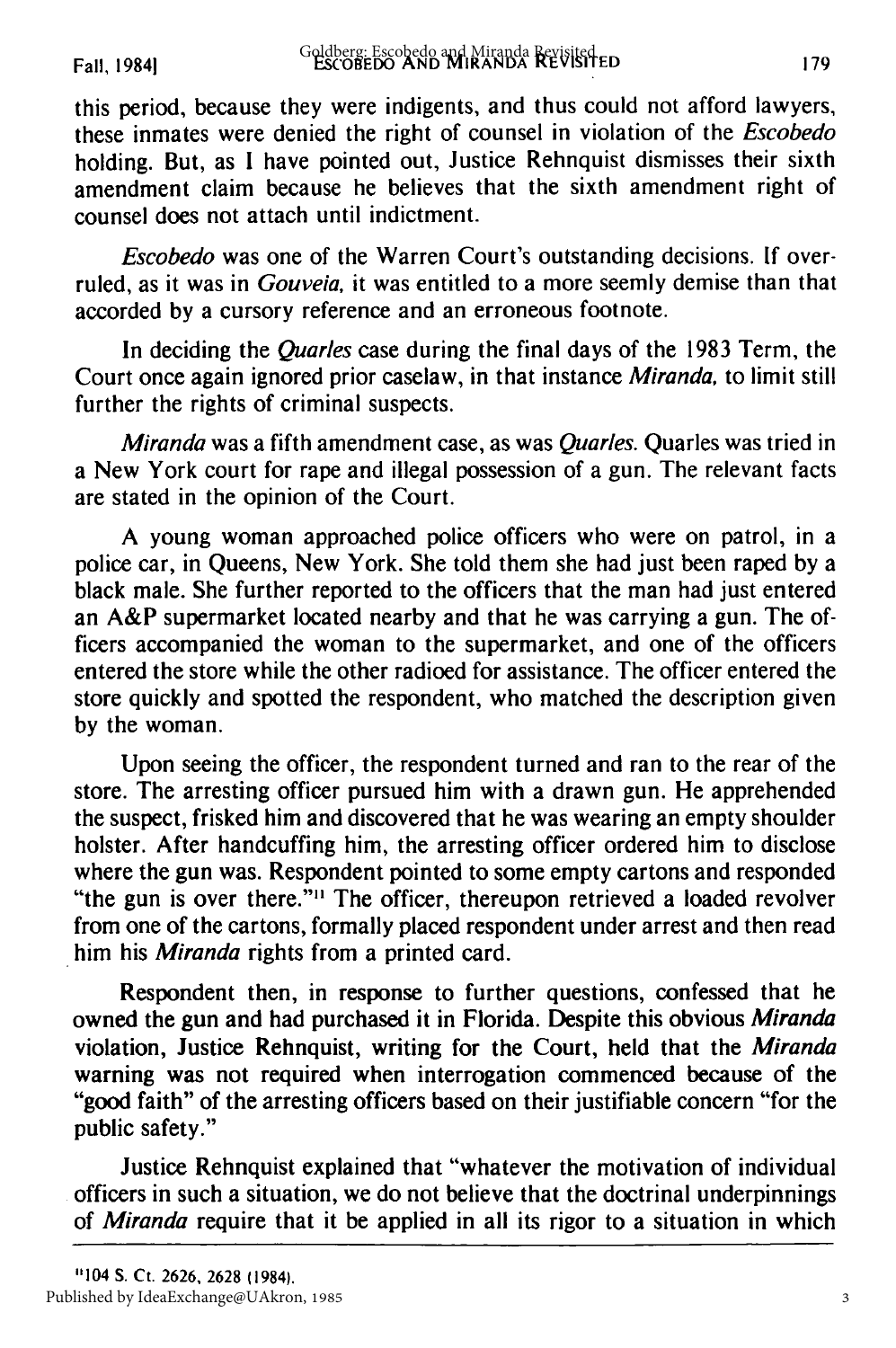Fall, 19841

this period, because they were indigents, and thus could not afford lawyers, these inmates were denied the right of counsel in violation of the Escobedo holding. But, as I have pointed out, Justice Rehnquist dismisses their sixth amendment claim because he believes that the sixth amendment right of counsel does not attach until indictment.

Escobedo was one of the Warren Court's outstanding decisions. If overruled, as it was in Gouveia, it was entitled to a more seemly demise than that accorded by a cursory reference and an erroneous footnote.

In deciding the *Quarles* case during the final days of the 1983 Term, the Court once again ignored prior caselaw, in that instance *Miranda,* to limit still further the rights of criminal suspects.

*Miranda* was a fifth amendment case, as was *Quarles.* Quarles was tried in a New York court for rape and illegal possession of a gun. The relevant facts are stated in the opinion of the Court.

A young woman approached police officers who were on patrol, in a police car, in Queens, New York. She told them she had just been raped **by** a black male. She further reported to the officers that the man had just entered an A&P supermarket located nearby and that he was carrying a gun. The officers accompanied the woman to the supermarket, and one of the officers entered the store while the other radioed for assistance. The officer entered the store quickly and spotted the respondent, who matched the description given **by** the woman.

Upon seeing the officer, the respondent turned and ran to the rear of the store. The arresting officer pursued him with a drawn gun. He apprehended the suspect, frisked him and discovered that he was wearing an empty shoulder holster. After handcuffing him, the arresting officer ordered him to disclose where the gun was. Respondent pointed to some empty cartons and responded "the gun is over there."<sup>11</sup> The officer, thereupon retrieved a loaded revolver from one of the cartons, formally placed respondent under arrest and then read him his *Miranda* rights from a printed card.

Respondent then, in response to further questions, confessed that he owned the gun and had purchased it in Florida. Despite this obvious *Miranda* violation, Justice Rehnquist, writing for the Court, held that the *Miranda* warning was not required when interrogation commenced because of the "good faith" of the arresting officers based on their justifiable concern "for the public safety."

Justice Rehnquist explained that "whatever the motivation of individual officers in such a situation, we do not believe that the doctrinal underpinnings of *Miranda* require that it be applied in all its rigor to a situation in which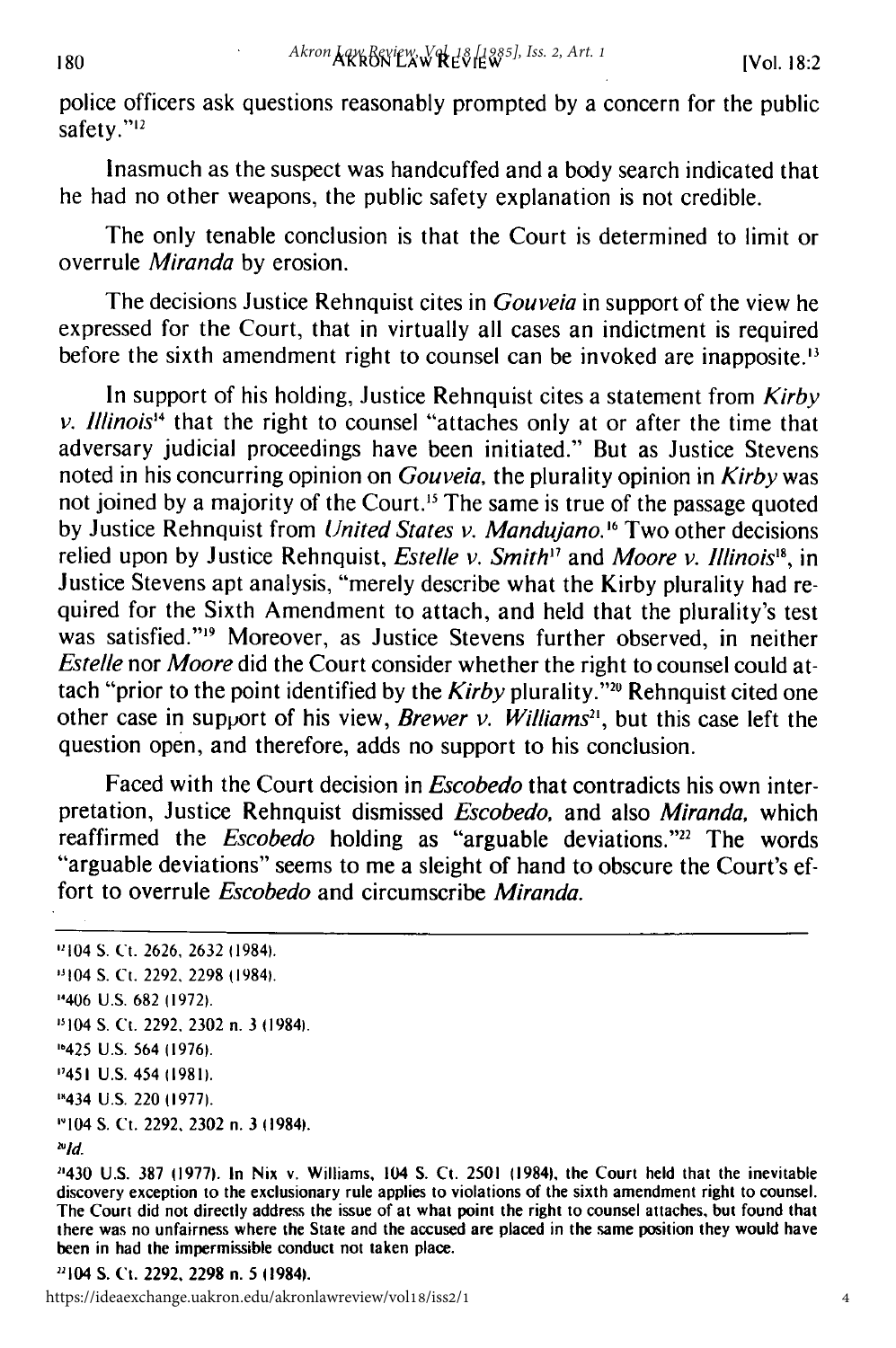police officers ask questions reasonably prompted by a concern for the public safety."<sup>12</sup>

Inasmuch as the suspect was handcuffed and a body search indicated that he had no other weapons, the public safety explanation is not credible.

The only tenable conclusion is that the Court is determined to limit or overrule Miranda by erosion.

The decisions Justice Rehnquist cites in *Gouveia* in support of the view he expressed for the Court, that in virtually all cases an indictment is required before the sixth amendment right to counsel can be invoked are inapposite.<sup>13</sup>

In support of his holding, Justice Rehnquist cites a statement from Kirby v. Illinois'*4* that the right to counsel "attaches only at or after the time that adversary judicial proceedings have been initiated." But as Justice Stevens noted in his concurring opinion on Gouveia, the plurality opinion in Kirby was not joined by a majority of the Court.'5 The same is true of the passage quoted by Justice Rehnquist from United States v. Mandujano.<sup>16</sup> Two other decisions relied upon by Justice Rehnquist, *Estelle v. Smith<sup>17</sup>* and *Moore v. Illinois*<sup>18</sup>, in Justice Stevens apt analysis, "merely describe what the Kirby plurality had required for the Sixth Amendment to attach, and held that the plurality's test was satisfied."<sup>19</sup> Moreover, as Justice Stevens further observed, in neither Estelle nor Moore did the Court consider whether the right to counsel could attach "prior to the point identified by the Kirby plurality."<sup>20</sup> Rehnquist cited one other case in support of his view, Brewer v. Williams<sup>21</sup>, but this case left the question open, and therefore, adds no support to his conclusion.

Faced with the Court decision in Escobedo that contradicts his own interpretation, Justice Rehnquist dismissed Escobedo, and also Miranda, which reaffirmed the *Escobedo* holding as "arguable deviations."<sup>22</sup> The words "arguable deviations" seems to me a sleight of hand to obscure the Court's effort to overrule Escobedo and circumscribe Miranda.

<sup>&#</sup>x27;104 S. Ct. 2626, 2632 11984).

<sup>&#</sup>x27;1104 **S.** Ct. 2292, 2298 (1984).

<sup>&</sup>quot;406 U.S. 682 (1972).

<sup>&</sup>quot;104 S. Ct. 2292, 2302 n. 3 (1984).

<sup>&#</sup>x27;"425 U.S. 564 (1976).

<sup>&</sup>quot;1451 U.S. 454 (1981).

<sup>&#</sup>x27;"434 U.S. 220 (1977).

<sup>&#</sup>x27;1104 S. Ct. 2292, 2302 n. 3 (1984).

**<sup>&#</sup>x27;ld.**

<sup>2430</sup> U.S. 387 (1977). In Nix v. Williams, 104 S. Ct. 2501 (1984), the Court held that the inevitable discovery exception to the exclusionary rule applies to violations of the sixth amendment right to counsel. The Court did not directly address the issue of at what point the right to counsel attaches, but found that there was no unfairness where the State and the accused are placed in the same position they would have been in had the impermissible conduct not taken place.

<sup>1104</sup> **S.** Ct. 2292, 2298 n. 5 11984).

https://ideaexchange.uakron.edu/akronlawreview/vol18/iss2/1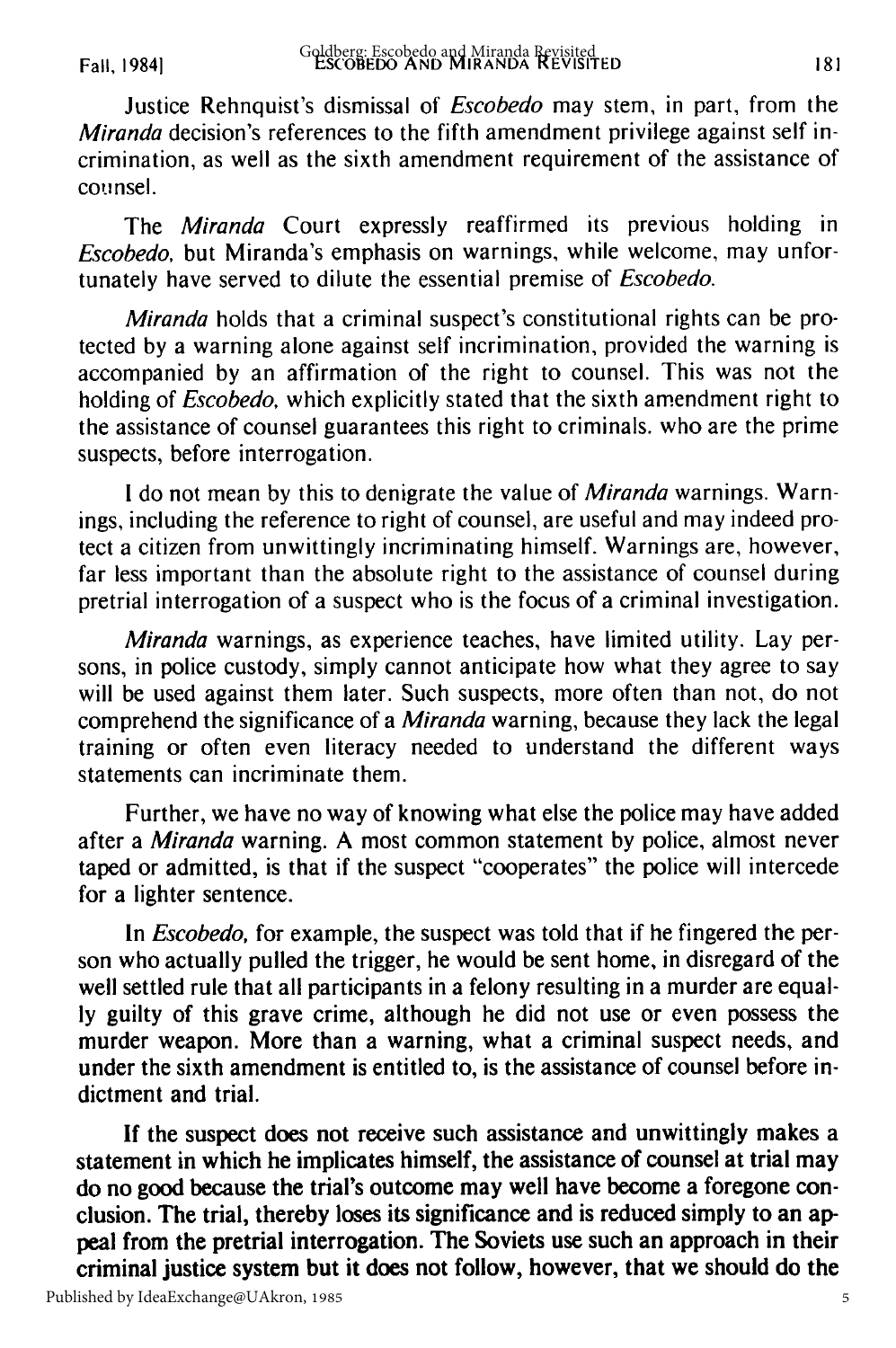Fall, 19841

Justice Rehnquist's dismissal of *Escobedo* may stem, in part, from the Miranda decision's references to the fifth amendment privilege against self incrimination, as well as the sixth amendment requirement of the assistance of counsel.

The Miranda Court expressly reaffirmed its previous holding in Escobedo, but Miranda's emphasis on warnings, while welcome, may unfortunately have served to dilute the essential premise of Escobedo.

Miranda holds that a criminal suspect's constitutional rights can be protected by a warning alone against self incrimination, provided the warning is accompanied by an affirmation of the right to counsel. This was not the holding of Escobedo, which explicitly stated that the sixth amendment right to the assistance of counsel guarantees this right to criminals, who are the prime suspects, before interrogation.

I do not mean by this to denigrate the value of *Miranda* warnings. Warnings, including the reference to right of counsel, are useful and may indeed protect a citizen from unwittingly incriminating himself. Warnings are, however, far less important than the absolute right to the assistance of counsel during pretrial interrogation of a suspect who is the focus of a criminal investigation.

Miranda warnings, as experience teaches, have limited utility. Lay persons, in police custody, simply cannot anticipate how what they agree to say will be used against them later. Such suspects, more often than not, do not comprehend the significance of a Miranda warning, because they lack the legal training or often even literacy needed to understand the different ways statements can incriminate them.

Further, we have no way of knowing what else the police may have added after a Miranda warning. A most common statement by police, almost never taped or admitted, is that if the suspect "cooperates" the police will intercede for a lighter sentence.

In *Escobedo*, for example, the suspect was told that if he fingered the person who actually pulled the trigger, he would be sent home, in disregard of the well settled rule that all participants in a felony resulting in a murder are equally guilty of this grave crime, although he did not use or even possess the murder weapon. More than a warning, what a criminal suspect needs, and under the sixth amendment is entitled to, is the assistance of counsel before indictment and trial.

If the suspect does not receive such assistance and unwittingly makes a statement in which he implicates himself, the assistance of counsel at trial may do no good because the trial's outcome may well have become a foregone conclusion. The trial, thereby loses its significance and is reduced simply to an appeal from the pretrial interrogation. The Soviets use such an approach in their criminal justice system but it does not follow, however, that we should do the